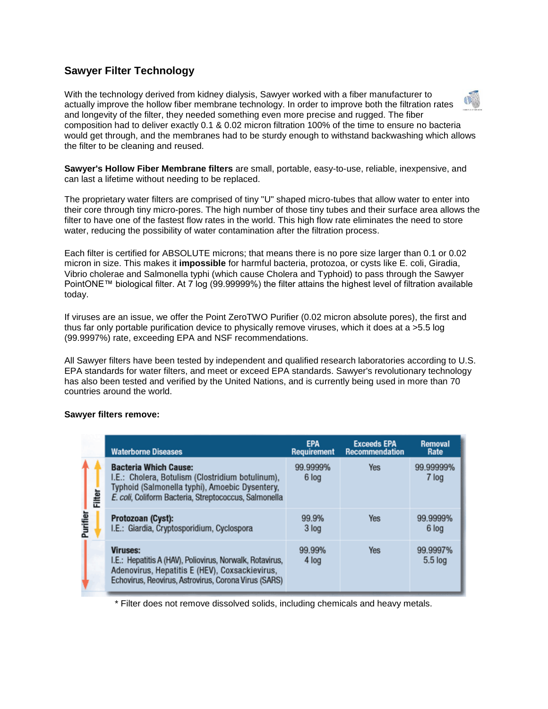## **Sawyer Filter Technology**

With the technology derived from kidney dialysis, Sawyer worked with a fiber manufacturer to actually improve the hollow fiber membrane technology. In order to improve both the filtration rates and longevity of the filter, they needed something even more precise and rugged. The fiber composition had to deliver exactly 0.1 & 0.02 micron filtration 100% of the time to ensure no bacteria would get through, and the membranes had to be sturdy enough to withstand backwashing which allows the filter to be cleaning and reused.

**Sawyer's Hollow Fiber Membrane filters** are small, portable, easy-to-use, reliable, inexpensive, and can last a lifetime without needing to be replaced.

The proprietary water filters are comprised of tiny "U" shaped micro-tubes that allow water to enter into their core through tiny micro-pores. The high number of those tiny tubes and their surface area allows the filter to have one of the fastest flow rates in the world. This high flow rate eliminates the need to store water, reducing the possibility of water contamination after the filtration process.

Each filter is certified for ABSOLUTE microns; that means there is no pore size larger than 0.1 or 0.02 micron in size. This makes it **impossible** for harmful bacteria, protozoa, or cysts like E. coli, Giradia, Vibrio cholerae and Salmonella typhi (which cause Cholera and Typhoid) to pass through the Sawyer PointONE™ biological filter. At 7 log (99.99999%) the filter attains the highest level of filtration available today.

If viruses are an issue, we offer the Point ZeroTWO Purifier (0.02 micron absolute pores), the first and thus far only portable purification device to physically remove viruses, which it does at a >5.5 log (99.9997%) rate, exceeding EPA and NSF recommendations.

All Sawyer filters have been tested by independent and qualified research laboratories according to U.S. EPA standards for water filters, and meet or exceed EPA standards. Sawyer's revolutionary technology has also been tested and verified by the United Nations, and is currently being used in more than 70 countries around the world.

## **Sawyer filters remove:**

|               | <b>Waterborne Diseases</b>                                                                                                                                                                  | <b>EPA</b><br><b>Requirement</b> | <b>Exceeds EPA</b><br><b>Recommendation</b> | Removal<br>Rate     |
|---------------|---------------------------------------------------------------------------------------------------------------------------------------------------------------------------------------------|----------------------------------|---------------------------------------------|---------------------|
| <b>Filter</b> | <b>Bacteria Which Cause:</b><br>I.E.: Cholera, Botulism (Clostridium botulinum),<br>Typhoid (Salmonella typhi), Amoebic Dysentery,<br>E. coli, Coliform Bacteria, Streptococcus, Salmonella | 99.9999%<br>6 log                | <b>Yes</b>                                  | 99.99999%<br>7 log  |
| Purifier      | Protozoan (Cyst):<br>I.E.: Giardia, Cryptosporidium, Cyclospora                                                                                                                             | 99.9%<br>3 log                   | <b>Yes</b>                                  | 99.9999%<br>6 log   |
|               | <b>Viruses:</b><br>I.E.: Hepatitis A (HAV), Poliovirus, Norwalk, Rotavirus,<br>Adenovirus, Hepatitis E (HEV), Coxsackievirus,<br>Echovirus, Reovirus, Astrovirus, Corona Virus (SARS)       | 99.99%<br>4 log                  | <b>Yes</b>                                  | 99.9997%<br>5.5 log |

\* Filter does not remove dissolved solids, including chemicals and heavy metals.